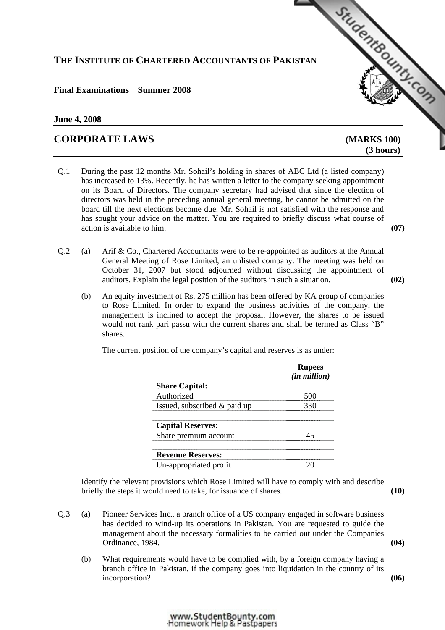## **THE INSTITUTE OF CHARTERED ACCOUNTANTS OF PAKISTAN**

### **Final Examinations Summer 2008**

### **June 4, 2008**

# **CORPORATE LAWS [\(MARKS 100\)](http://www.studentbounty.com)**

 **(3 hours)** 

StudentBounds Com

- Q.1 During the past 12 months Mr. Sohail's holding in shares of ABC Ltd (a listed company) has increased to 13%. Recently, he has written a letter to the company seeking appointment on its Board of Directors. The company secretary had advised that since the election of directors was held in the preceding annual general meeting, he cannot be admitted on the board till the next elections become due. Mr. Sohail is not satisfied with the response and has sought your advice on the matter. You are required to briefly discuss what course of action is available to him. **(07)**
- Q.2 (a) Arif & Co., Chartered Accountants were to be re-appointed as auditors at the Annual General Meeting of Rose Limited, an unlisted company. The meeting was held on October 31, 2007 but stood adjourned without discussing the appointment of auditors. Explain the legal position of the auditors in such a situation. **(02)**
	- (b) An equity investment of Rs. 275 million has been offered by KA group of companies to Rose Limited. In order to expand the business activities of the company, the management is inclined to accept the proposal. However, the shares to be issued would not rank pari passu with the current shares and shall be termed as Class "B" shares.

|                                | <b>Rupees</b><br>( <i>in million</i> ) |
|--------------------------------|----------------------------------------|
| <b>Share Capital:</b>          |                                        |
| Authorized                     | 50 N I                                 |
| Issued, subscribed $&$ paid up |                                        |
| <b>Capital Reserves:</b>       |                                        |
| Share premium account          |                                        |
| <b>Revenue Reserves:</b>       |                                        |
| Un-appropriated profit         |                                        |

The current position of the company's capital and reserves is as under:

 Identify the relevant provisions which Rose Limited will have to comply with and describe briefly the steps it would need to take, for issuance of shares. **(10)**

- Q.3 (a) Pioneer Services Inc., a branch office of a US company engaged in software business has decided to wind-up its operations in Pakistan. You are requested to guide the management about the necessary formalities to be carried out under the Companies Ordinance, 1984. **(04)**
	- (b) What requirements would have to be complied with, by a foreign company having a branch office in Pakistan, if the company goes into liquidation in the country of its incorporation? **(06)**

#### www.StudentBounty.com Homework Help & Pastpapers-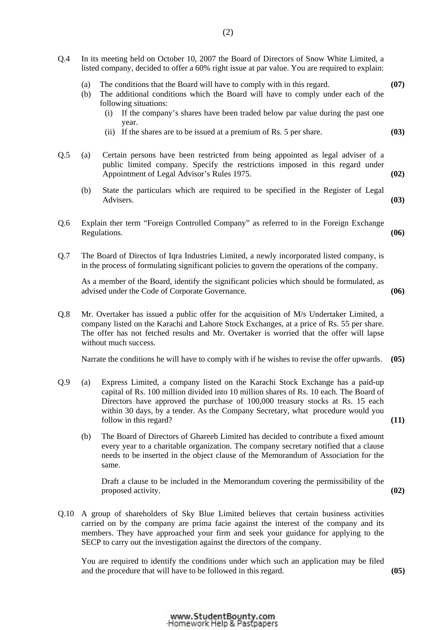| Q.4 | In its meeting held on October 10, 2007 the Board of Directors of Snow White Limited, a<br>listed company, decided to offer a 60% right issue at par value. You are required to explain:                                                                                                                   |                                                                                                                                                                                                                                                                                                                                                                        |      |
|-----|------------------------------------------------------------------------------------------------------------------------------------------------------------------------------------------------------------------------------------------------------------------------------------------------------------|------------------------------------------------------------------------------------------------------------------------------------------------------------------------------------------------------------------------------------------------------------------------------------------------------------------------------------------------------------------------|------|
|     | (a)<br>(b)                                                                                                                                                                                                                                                                                                 | The conditions that the Board will have to comply with in this regard.<br>The additional conditions which the Board will have to comply under each of the<br>following situations:<br>If the company's shares have been traded below par value during the past one<br>(i)<br>year.                                                                                     | (07) |
|     |                                                                                                                                                                                                                                                                                                            | (ii) If the shares are to be issued at a premium of Rs. 5 per share.                                                                                                                                                                                                                                                                                                   | (03) |
| Q.5 | (a)                                                                                                                                                                                                                                                                                                        | Certain persons have been restricted from being appointed as legal adviser of a<br>public limited company. Specify the restrictions imposed in this regard under<br>Appointment of Legal Advisor's Rules 1975.                                                                                                                                                         | (02) |
|     | (b)                                                                                                                                                                                                                                                                                                        | State the particulars which are required to be specified in the Register of Legal<br>Advisers.                                                                                                                                                                                                                                                                         | (03) |
| Q.6 | Explain ther term "Foreign Controlled Company" as referred to in the Foreign Exchange<br>Regulations.                                                                                                                                                                                                      |                                                                                                                                                                                                                                                                                                                                                                        | (06) |
| Q.7 | The Board of Directos of Iqra Industries Limited, a newly incorporated listed company, is<br>in the process of formulating significant policies to govern the operations of the company.                                                                                                                   |                                                                                                                                                                                                                                                                                                                                                                        |      |
|     |                                                                                                                                                                                                                                                                                                            | As a member of the Board, identify the significant policies which should be formulated, as<br>advised under the Code of Corporate Governance.                                                                                                                                                                                                                          | (06) |
| Q.8 | Mr. Overtaker has issued a public offer for the acquisition of M/s Undertaker Limited, a<br>company listed on the Karachi and Lahore Stock Exchanges, at a price of Rs. 55 per share.<br>The offer has not fetched results and Mr. Overtaker is worried that the offer will lapse<br>without much success. |                                                                                                                                                                                                                                                                                                                                                                        |      |
|     |                                                                                                                                                                                                                                                                                                            | Narrate the conditions he will have to comply with if he wishes to revise the offer upwards.                                                                                                                                                                                                                                                                           | (05) |
| Q.9 | (a)                                                                                                                                                                                                                                                                                                        | Express Limited, a company listed on the Karachi Stock Exchange has a paid-up<br>capital of Rs. 100 million divided into 10 million shares of Rs. 10 each. The Board of<br>Directors have approved the purchase of 100,000 treasury stocks at Rs. 15 each<br>within 30 days, by a tender. As the Company Secretary, what procedure would you<br>follow in this regard? | (11) |
|     | (b)                                                                                                                                                                                                                                                                                                        | The Board of Directors of Ghareeb Limited has decided to contribute a fixed amount<br>every year to a charitable organization. The company secretary notified that a clause<br>needs to be inserted in the object clause of the Memorandum of Association for the<br>same.                                                                                             |      |
|     |                                                                                                                                                                                                                                                                                                            | Draft a clause to be included in the Memorandum covering the permissibility of the<br>proposed activity.                                                                                                                                                                                                                                                               | (02) |

Q.10 A group of shareholders of Sky Blue Limited believes that certain business activities carried on by the company are prima facie against the interest of the company and its members. They have approached your firm and seek your guidance for applying to the SECP to carry out the investigation against the directors of the company.

You are required to identify the conditions under which such an application may be filed and the procedure that will have to be followed in this regard. **(05)**